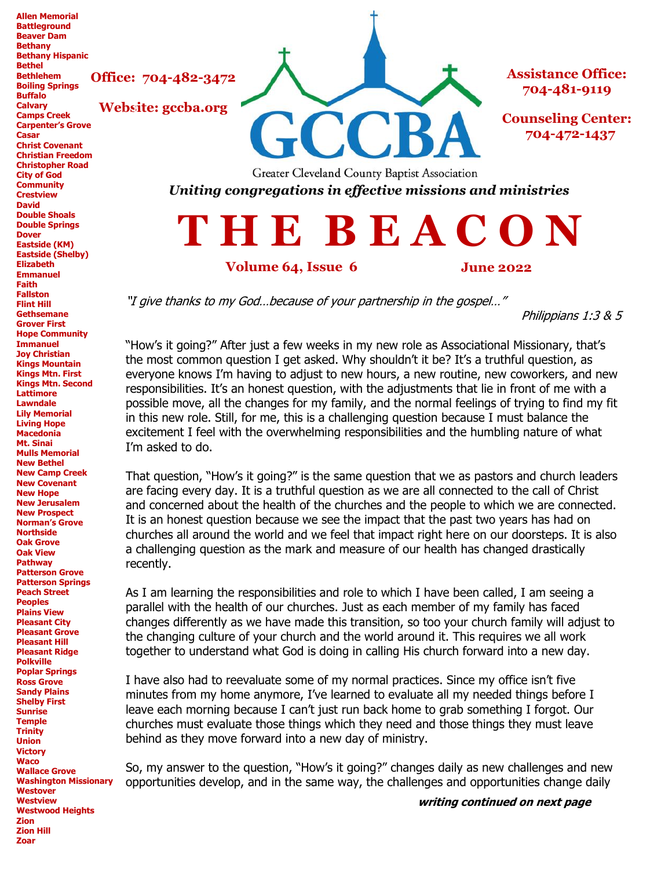**Office: 704-482-3472**

**Website: gccba.org**

**Bethel Bethlehem Boiling Springs Buffalo Calvary Camps Creek Carpenter's Grove Casar Christ Covenant Christian Freedom Christopher Road City of God Community Crestview David Double Shoals Double Springs Dover Eastside (KM) Eastside (Shelby) Elizabeth Emmanuel Faith Fallston Flint Hill Gethsemane Grover First Hope Community Immanuel Joy Christian Kings Mountain Kings Mtn. First Kings Mtn. Second Lattimore Lawndale Lily Memorial Living Hope Macedonia Mt. Sinai Mulls Memorial New Bethel New Camp Creek New Covenant New Hope New Jerusalem New Prospect Norman's Grove Northside Oak Grove Oak View Pathway Patterson Grove Patterson Springs Peach Street Peoples Plains View Pleasant City Pleasant Grove Pleasant Hill Pleasant Ridge Polkville Poplar Springs Ross Grove Sandy Plains Shelby First Sunrise Temple Trinity Union Victory Waco Wallace Grove Washington Missionary Westover Westview Westwood Heights Zion Zion Hill Zoar**

**Allen Memorial Battleground Beaver Dam Bethany Bethany Hispanic**



**Assistance Office: 704-481-9119**

**Counseling Center: 704-472-1437**

Greater Cleveland County Baptist Association *Uniting congregations in effective missions and ministries*

**T H E B E A C O N**

#### **Volume 64, Issue 6 June 2022**

"I give thanks to my God…because of your partnership in the gospel…"

Philippians 1:3 & 5

"How's it going?" After just a few weeks in my new role as Associational Missionary, that's the most common question I get asked. Why shouldn't it be? It's a truthful question, as everyone knows I'm having to adjust to new hours, a new routine, new coworkers, and new responsibilities. It's an honest question, with the adjustments that lie in front of me with a possible move, all the changes for my family, and the normal feelings of trying to find my fit in this new role. Still, for me, this is a challenging question because I must balance the excitement I feel with the overwhelming responsibilities and the humbling nature of what I'm asked to do.

That question, "How's it going?" is the same question that we as pastors and church leaders are facing every day. It is a truthful question as we are all connected to the call of Christ and concerned about the health of the churches and the people to which we are connected. It is an honest question because we see the impact that the past two years has had on churches all around the world and we feel that impact right here on our doorsteps. It is also a challenging question as the mark and measure of our health has changed drastically recently.

As I am learning the responsibilities and role to which I have been called, I am seeing a parallel with the health of our churches. Just as each member of my family has faced changes differently as we have made this transition, so too your church family will adjust to the changing culture of your church and the world around it. This requires we all work together to understand what God is doing in calling His church forward into a new day.

I have also had to reevaluate some of my normal practices. Since my office isn't five minutes from my home anymore, I've learned to evaluate all my needed things before I leave each morning because I can't just run back home to grab something I forgot. Our churches must evaluate those things which they need and those things they must leave behind as they move forward into a new day of ministry.

So, my answer to the question, "How's it going?" changes daily as new challenges and new opportunities develop, and in the same way, the challenges and opportunities change daily

**writing continued on next page**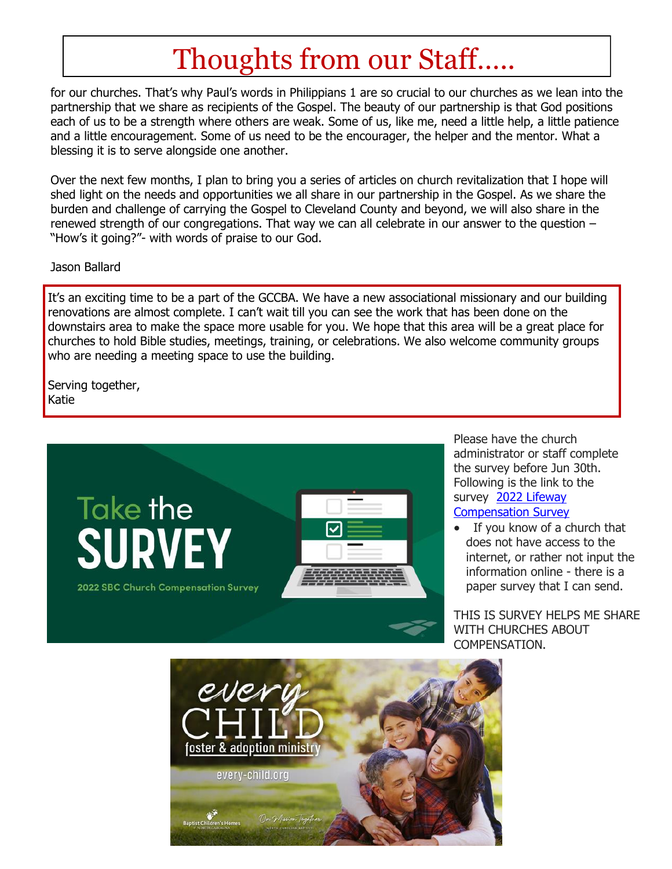# Thoughts from our Staff…..

for our churches. That's why Paul's words in Philippians 1 are so crucial to our churches as we lean into the partnership that we share as recipients of the Gospel. The beauty of our partnership is that God positions each of us to be a strength where others are weak. Some of us, like me, need a little help, a little patience and a little encouragement. Some of us need to be the encourager, the helper and the mentor. What a blessing it is to serve alongside one another.

Over the next few months, I plan to bring you a series of articles on church revitalization that I hope will shed light on the needs and opportunities we all share in our partnership in the Gospel. As we share the burden and challenge of carrying the Gospel to Cleveland County and beyond, we will also share in the renewed strength of our congregations. That way we can all celebrate in our answer to the question – "How's it going?"- with words of praise to our God.

#### Jason Ballard

It's an exciting time to be a part of the GCCBA. We have a new associational missionary and our building renovations are almost complete. I can't wait till you can see the work that has been done on the downstairs area to make the space more usable for you. We hope that this area will be a great place for churches to hold Bible studies, meetings, training, or celebrations. We also welcome community groups who are needing a meeting space to use the building.

Serving together, Katie



Please have the church administrator or staff complete the survey before Jun 30th. Following is the link to the survey [2022 Lifeway](http://guidestone.org/compensationsurvey)  [Compensation Survey](http://guidestone.org/compensationsurvey)

 $\bullet$  If you know of a church that does not have access to the internet, or rather not input the information online - there is a paper survey that I can send.

THIS IS SURVEY HELPS ME SHARE WITH CHURCHES ABOUT COMPENSATION.

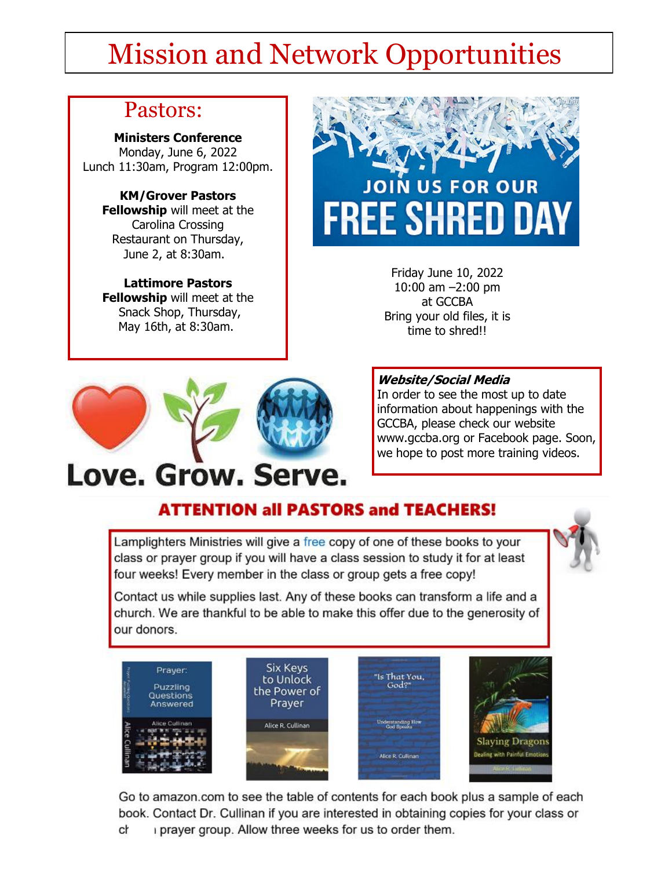# Mission and Network Opportunities

## Pastors:

**Ministers Conference** Monday, June 6, 2022 Lunch 11:30am, Program 12:00pm.

**KM/Grover Pastors Fellowship** will meet at the Carolina Crossing Restaurant on Thursday, June 2, at 8:30am.

**Lattimore Pastors Fellowship** will meet at the Snack Shop, Thursday, May 16th, at 8:30am.



Friday June 10, 2022 10:00 am –2:00 pm at GCCBA Bring your old files, it is time to shred!!



# Love. Grow. Serve.

### **Website/Social Media**

In order to see the most up to date information about happenings with the GCCBA, please check our website www.gccba.org or Facebook page. Soon, we hope to post more training videos.

# **ATTENTION all PASTORS and TEACHERS!**

Lamplighters Ministries will give a free copy of one of these books to your class or prayer group if you will have a class session to study it for at least four weeks! Every member in the class or group gets a free copy!



Contact us while supplies last. Any of these books can transform a life and a church. We are thankful to be able to make this offer due to the generosity of our donors.



Go to amazon.com to see the table of contents for each book plus a sample of each book. Contact Dr. Cullinan if you are interested in obtaining copies for your class or i prayer group. Allow three weeks for us to order them. cł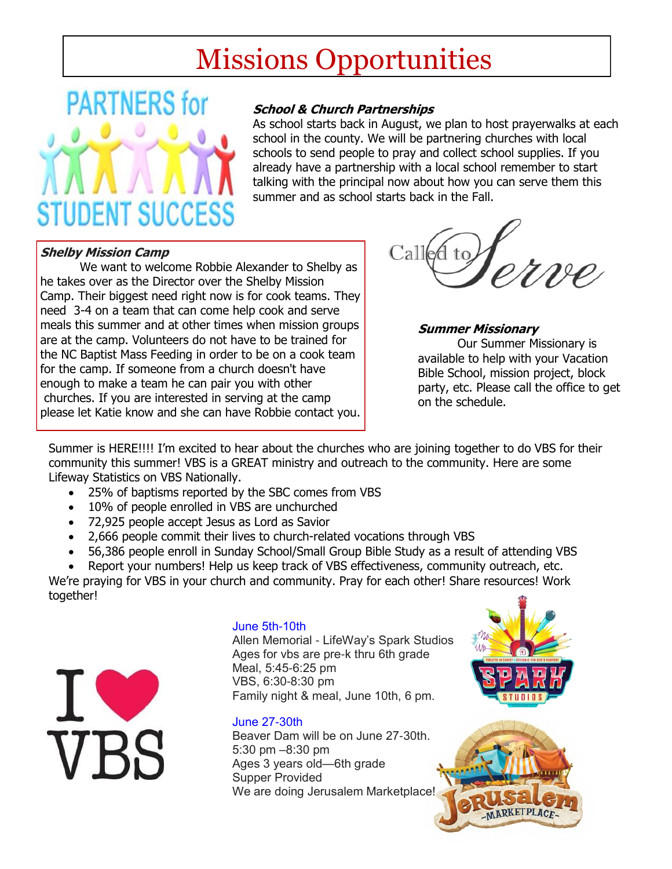# Missions Opportunities

# **PARTNERS** for **STUDENT SUCCESS**

### **School & Church Partnerships**

As school starts back in August, we plan to host prayerwalks at each school in the county. We will be partnering churches with local schools to send people to pray and collect school supplies. If you already have a partnership with a local school remember to start talking with the principal now about how you can serve them this summer and as school starts back in the Fall.

### **Shelby Mission Camp**

We want to welcome Robbie Alexander to Shelby as he takes over as the Director over the Shelby Mission Camp. Their biggest need right now is for cook teams. They need 3-4 on a team that can come help cook and serve meals this summer and at other times when mission groups are at the camp. Volunteers do not have to be trained for the NC Baptist Mass Feeding in order to be on a cook team for the camp. If someone from a church doesn't have enough to make a team he can pair you with other churches. If you are interested in serving at the camp please let Katie know and she can have Robbie contact you.



#### **Summer Missionary**

Our Summer Missionary is available to help with your Vacation Bible School, mission project, block party, etc. Please call the office to get on the schedule.

Summer is HERE!!!! I'm excited to hear about the churches who are joining together to do VBS for their community this summer! VBS is a GREAT ministry and outreach to the community. Here are some Lifeway Statistics on VBS Nationally.

- 25% of baptisms reported by the SBC comes from VBS
- 10% of people enrolled in VBS are unchurched
- 72,925 people accept Jesus as Lord as Savior
- 2,666 people commit their lives to church-related vocations through VBS
- 56,386 people enroll in Sunday School/Small Group Bible Study as a result of attending VBS
- Report your numbers! Help us keep track of VBS effectiveness, community outreach, etc.

We're praying for VBS in your church and community. Pray for each other! Share resources! Work together!



#### June 5th-10th

Allen Memorial - LifeWay's Spark Studios Ages for vbs are pre-k thru 6th grade Meal, 5:45-6:25 pm VBS, 6:30-8:30 pm Family night & meal, June 10th, 6 pm.

#### June 27-30th

Beaver Dam will be on June 27-30th. 5:30 pm –8:30 pm Ages 3 years old—6th grade Supper Provided We are doing Jerusalem Marketplace!



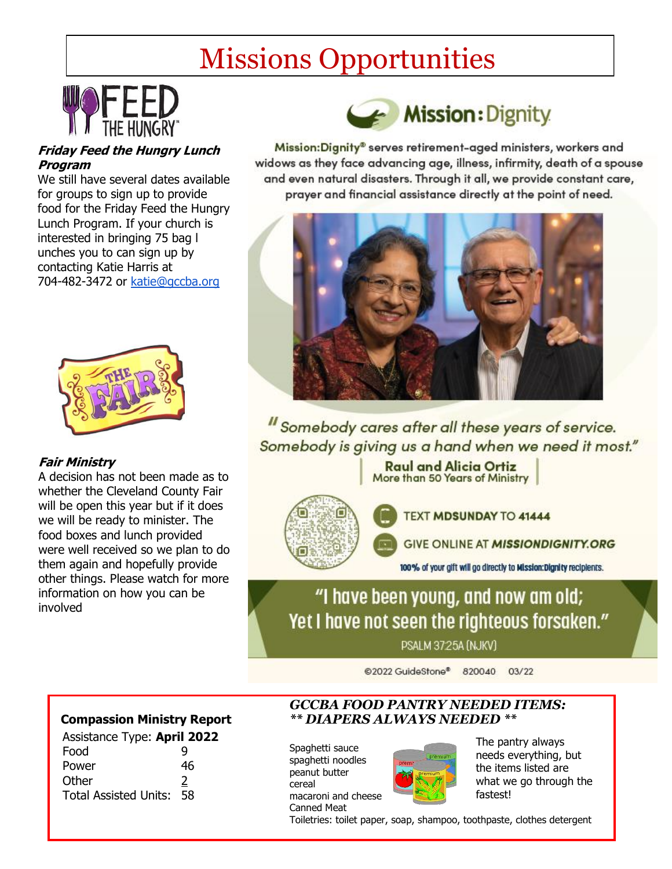# Missions Opportunities



### **Friday Feed the Hungry Lunch Program**

We still have several dates available for groups to sign up to provide food for the Friday Feed the Hungry Lunch Program. If your church is interested in bringing 75 bag l unches you to can sign up by contacting Katie Harris at 704-482-3472 or [katie@gccba.org](mailto:katie@gccba.org)



### **Fair Ministry**

A decision has not been made as to whether the Cleveland County Fair will be open this year but if it does we will be ready to minister. The food boxes and lunch provided were well received so we plan to do them again and hopefully provide other things. Please watch for more information on how you can be involved



Mission:Dignity® serves retirement-aged ministers, workers and widows as they face advancing age, illness, infirmity, death of a spouse and even natural disasters. Through it all, we provide constant care, prayer and financial assistance directly at the point of need.



"Somebody cares after all these years of service. Somebody is giving us a hand when we need it most."

> **Raul and Alicia Ortiz** More than 50 Years of Ministry



TEXT MDSUNDAY TO 41444

GIVE ONLINE AT MISSIONDIGNITY.ORG

100% of your gift will go directly to Mission:Dignity recipients.

"I have been young, and now am old; Yet I have not seen the righteous forsaken."

PSALM 37:25A (NJKV)

@2022 GuideStone® 820040 03/22

#### **Compassion Ministry Report**

| <b>Assistance Type: April 2022</b> |    |
|------------------------------------|----|
| Food                               | Q  |
| Power                              | 46 |
| Other                              | 2  |
| <b>Total Assisted Units:</b>       | 58 |

#### *GCCBA FOOD PANTRY NEEDED ITEMS: \*\* DIAPERS ALWAYS NEEDED \*\**

Spaghetti sauce spaghetti noodles peanut butter cereal macaroni and cheese Canned Meat



The pantry always needs everything, but the items listed are what we go through the fastest!

Toiletries: toilet paper, soap, shampoo, toothpaste, clothes detergent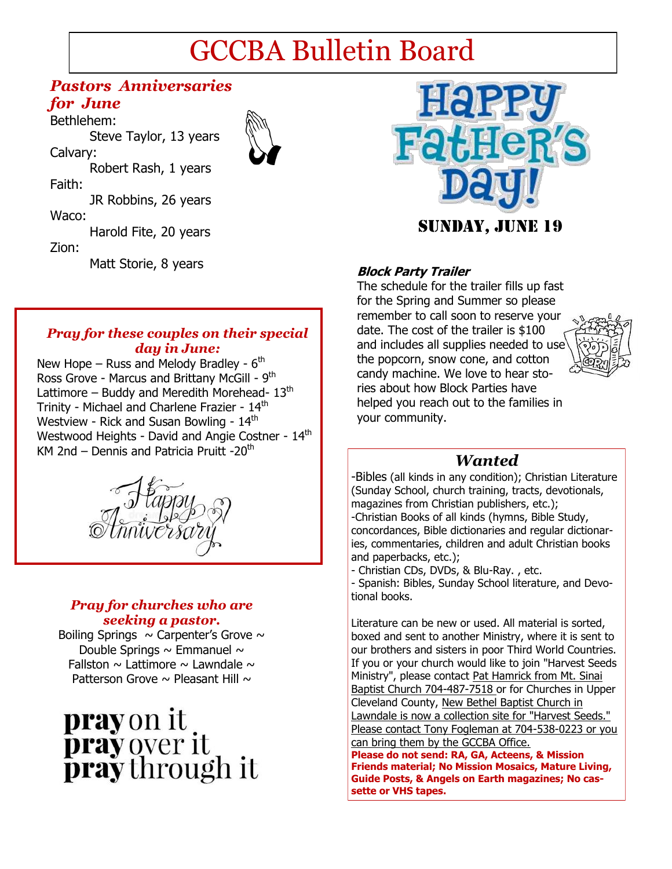# GCCBA Bulletin Board

### *Pastors Anniversaries for June*

Bethlehem: Steve Taylor, 13 years Calvary: Robert Rash, 1 years Faith: JR Robbins, 26 years Waco: Harold Fite, 20 years Zion: Matt Storie, 8 years **Block Party Trailer** 





The schedule for the trailer fills up fast for the Spring and Summer so please remember to call soon to reserve your date. The cost of the trailer is \$100 and includes all supplies needed to use the popcorn, snow cone, and cotton candy machine. We love to hear stories about how Block Parties have helped you reach out to the families in your community.



### *Wanted*

-Bibles (all kinds in any condition); Christian Literature (Sunday School, church training, tracts, devotionals, magazines from Christian publishers, etc.); -Christian Books of all kinds (hymns, Bible Study, concordances, Bible dictionaries and regular dictionaries, commentaries, children and adult Christian books and paperbacks, etc.);

- Christian CDs, DVDs, & Blu-Ray. , etc.

- Spanish: Bibles, Sunday School literature, and Devotional books.

Literature can be new or used. All material is sorted, boxed and sent to another Ministry, where it is sent to our brothers and sisters in poor Third World Countries. If you or your church would like to join "Harvest Seeds Ministry", please contact Pat Hamrick from Mt. Sinai Baptist Church 704-487-7518 or for Churches in Upper Cleveland County, New Bethel Baptist Church in Lawndale is now a collection site for "Harvest Seeds." Please contact Tony Fogleman at 704-538-0223 or you can bring them by the GCCBA Office.

**Please do not send: RA, GA, Acteens, & Mission Friends material; No Mission Mosaics, Mature Living, Guide Posts, & Angels on Earth magazines; No cassette or VHS tapes.**

### *Pray for these couples on their special day in June:*

New Hope – Russ and Melody Bradley - 6<sup>th</sup> Ross Grove - Marcus and Brittany McGill - 9<sup>th</sup> Lattimore – Buddy and Meredith Morehead-  $13<sup>th</sup>$ Trinity - Michael and Charlene Frazier - 14<sup>th</sup> Westview - Rick and Susan Bowling - 14<sup>th</sup> Westwood Heights - David and Angie Costner - 14<sup>th</sup> KM 2nd – Dennis and Patricia Pruitt  $-20<sup>th</sup>$ 



### *Pray for churches who are seeking a pastor.*

Boiling Springs  $\sim$  Carpenter's Grove  $\sim$ Double Springs  $\sim$  Emmanuel  $\sim$ Fallston  $\sim$  Lattimore  $\sim$  Lawndale  $\sim$ Patterson Grove  $\sim$  Pleasant Hill  $\sim$ 

# **pray** on it **pray** over it<br>**pray** through it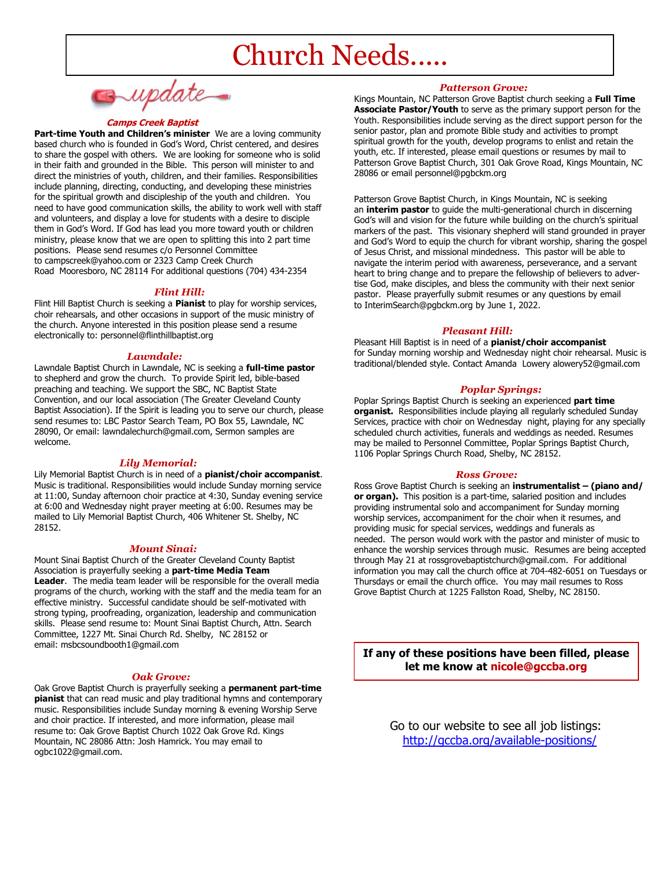# Church Needs.....

 $\lnot \textit{update}$ 

#### **Camps Creek Baptist**

**Part-time Youth and Children's minister** We are a loving community based church who is founded in God's Word, Christ centered, and desires to share the gospel with others. We are looking for someone who is solid in their faith and grounded in the Bible. This person will minister to and direct the ministries of youth, children, and their families. Responsibilities include planning, directing, conducting, and developing these ministries for the spiritual growth and discipleship of the youth and children. You need to have good communication skills, the ability to work well with staff and volunteers, and display a love for students with a desire to disciple them in God's Word. If God has lead you more toward youth or children ministry, please know that we are open to splitting this into 2 part time positions. Please send resumes c/o Personnel Committee to campscreek@yahoo.com or 2323 Camp Creek Church Road Mooresboro, NC 28114 For additional questions (704) 434-2354

#### *Flint Hill:*

Flint Hill Baptist Church is seeking a **Pianist** to play for worship services, choir rehearsals, and other occasions in support of the music ministry of the church. Anyone interested in this position please send a resume electronically to: personnel@flinthillbaptist.org

#### *Lawndale:*

Lawndale Baptist Church in Lawndale, NC is seeking a **full-time pastor**  to shepherd and grow the church. To provide Spirit led, bible-based preaching and teaching. We support the SBC, NC Baptist State Convention, and our local association (The Greater Cleveland County Baptist Association). If the Spirit is leading you to serve our church, please send resumes to: LBC Pastor Search Team, PO Box 55, Lawndale, NC 28090, Or email: lawndalechurch@gmail.com, Sermon samples are welcome.

#### *Lily Memorial:*

Lily Memorial Baptist Church is in need of a **pianist/choir accompanist**. Music is traditional. Responsibilities would include Sunday morning service at 11:00, Sunday afternoon choir practice at 4:30, Sunday evening service at 6:00 and Wednesday night prayer meeting at 6:00. Resumes may be mailed to Lily Memorial Baptist Church, 406 Whitener St. Shelby, NC 28152.

#### *Mount Sinai:*

Mount Sinai Baptist Church of the Greater Cleveland County Baptist Association is prayerfully seeking a **part-time Media Team Leader**. The media team leader will be responsible for the overall media programs of the church, working with the staff and the media team for an effective ministry. Successful candidate should be self-motivated with strong typing, proofreading, organization, leadership and communication skills. Please send resume to: Mount Sinai Baptist Church, Attn. Search Committee, 1227 Mt. Sinai Church Rd. Shelby, NC 28152 or email: msbcsoundbooth1@gmail.com

#### *Oak Grove:*

Oak Grove Baptist Church is prayerfully seeking a **permanent part-time pianist** that can read music and play traditional hymns and contemporary music. Responsibilities include Sunday morning & evening Worship Serve and choir practice. If interested, and more information, please mail resume to: Oak Grove Baptist Church 1022 Oak Grove Rd. Kings Mountain, NC 28086 Attn: Josh Hamrick. You may email to ogbc1022@gmail.com.

#### *Patterson Grove:*

Kings Mountain, NC Patterson Grove Baptist church seeking a **Full Time Associate Pastor/Youth** to serve as the primary support person for the Youth. Responsibilities include serving as the direct support person for the senior pastor, plan and promote Bible study and activities to prompt spiritual growth for the youth, develop programs to enlist and retain the youth, etc. If interested, please email questions or resumes by mail to Patterson Grove Baptist Church, 301 Oak Grove Road, Kings Mountain, NC 28086 or email personnel@pgbckm.org

Patterson Grove Baptist Church, in Kings Mountain, NC is seeking an **interim pastor** to guide the multi-generational church in discerning God's will and vision for the future while building on the church's spiritual markers of the past. This visionary shepherd will stand grounded in prayer and God's Word to equip the church for vibrant worship, sharing the gospel of Jesus Christ, and missional mindedness. This pastor will be able to navigate the interim period with awareness, perseverance, and a servant heart to bring change and to prepare the fellowship of believers to advertise God, make disciples, and bless the community with their next senior pastor. Please prayerfully submit resumes or any questions by email to InterimSearch@pgbckm.org by June 1, 2022.

#### *Pleasant Hill:*

Pleasant Hill Baptist is in need of a **pianist/choir accompanist**  for Sunday morning worship and Wednesday night choir rehearsal. Music is traditional/blended style. Contact Amanda Lowery alowery52@gmail.com

#### *Poplar Springs:*

Poplar Springs Baptist Church is seeking an experienced **part time organist.** Responsibilities include playing all regularly scheduled Sunday Services, practice with choir on Wednesday night, playing for any specially scheduled church activities, funerals and weddings as needed. Resumes may be mailed to Personnel Committee, Poplar Springs Baptist Church, 1106 Poplar Springs Church Road, Shelby, NC 28152.

#### *Ross Grove:*

Ross Grove Baptist Church is seeking an **instrumentalist – (piano and/ or organ).** This position is a part-time, salaried position and includes providing instrumental solo and accompaniment for Sunday morning worship services, accompaniment for the choir when it resumes, and providing music for special services, weddings and funerals as needed. The person would work with the pastor and minister of music to enhance the worship services through music. Resumes are being accepted through May 21 at rossgrovebaptistchurch@gmail.com. For additional information you may call the church office at 704-482-6051 on Tuesdays or Thursdays or email the church office. You may mail resumes to Ross Grove Baptist Church at 1225 Fallston Road, Shelby, NC 28150.

**If any of these positions have been filled, please let me know at nicole@gccba.org** 

> Go to our website to see all job listings: <http://gccba.org/available-positions/>